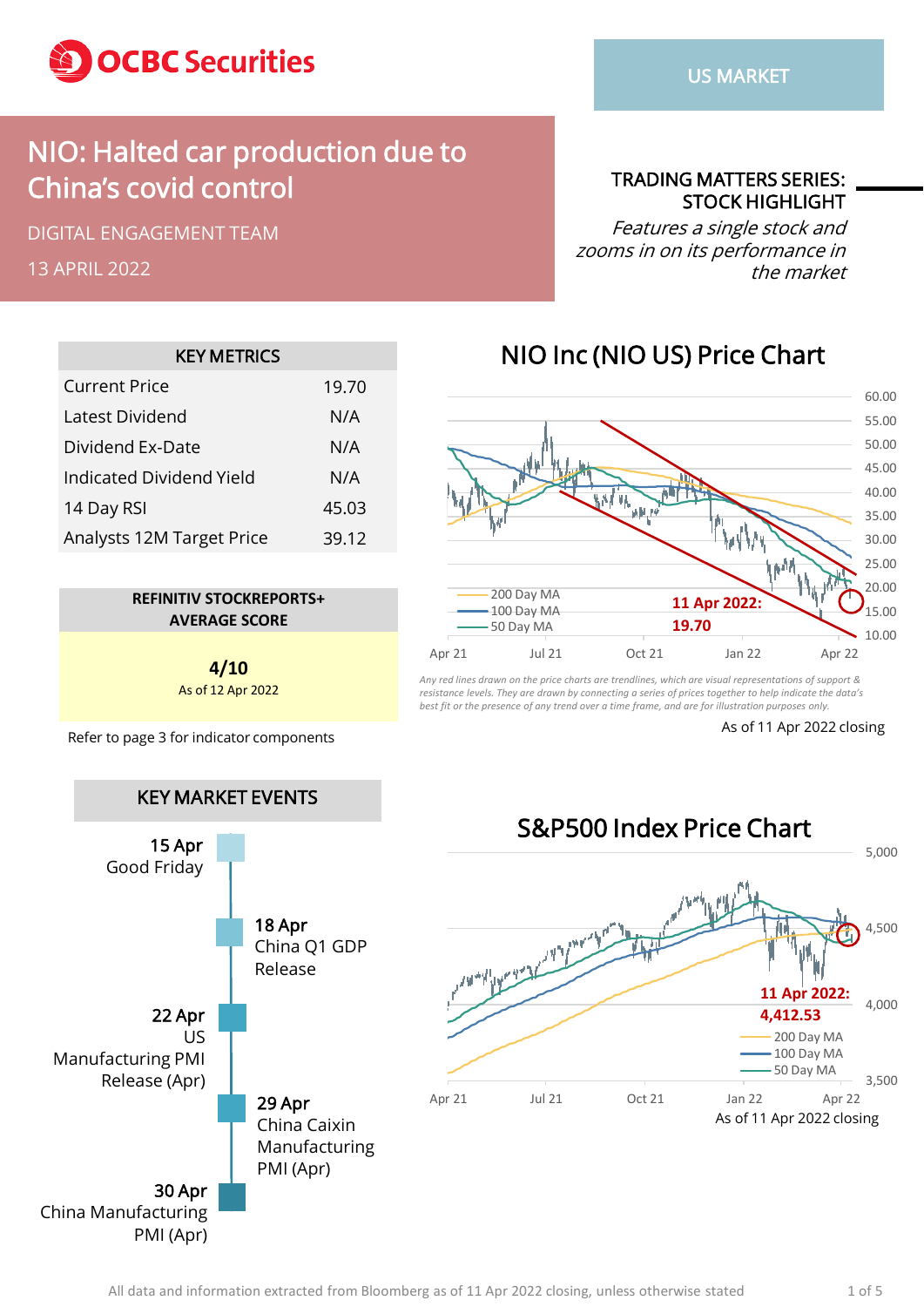

### NIO: Halted car production due to China's covid control

DIGITAL ENGAGEMENT TEAM

13 APRIL 2022

TRADING MATTERS SERIES: STOCK HIGHLIGHT

Features a single stock and zooms in on its performance in the market

| <b>KEY METRICS</b>        |       |  |  |  |  |  |  |
|---------------------------|-------|--|--|--|--|--|--|
| <b>Current Price</b>      | 19.70 |  |  |  |  |  |  |
| Latest Dividend           | N/A   |  |  |  |  |  |  |
| Dividend Ex-Date          | N/A   |  |  |  |  |  |  |
| Indicated Dividend Yield  | N/A   |  |  |  |  |  |  |
| 14 Day RSI                | 45.03 |  |  |  |  |  |  |
| Analysts 12M Target Price | 39.12 |  |  |  |  |  |  |



**4/10** As of 12 Apr 2022

Refer to page 3 for indicator components As of 11 Apr 2022 closing





*Any red lines drawn on the price charts are trendlines, which are visual representations of support & resistance levels. They are drawn by connecting a series of prices together to help indicate the data's best fit or the presence of any trend over a time frame, and are for illustration purposes only.*

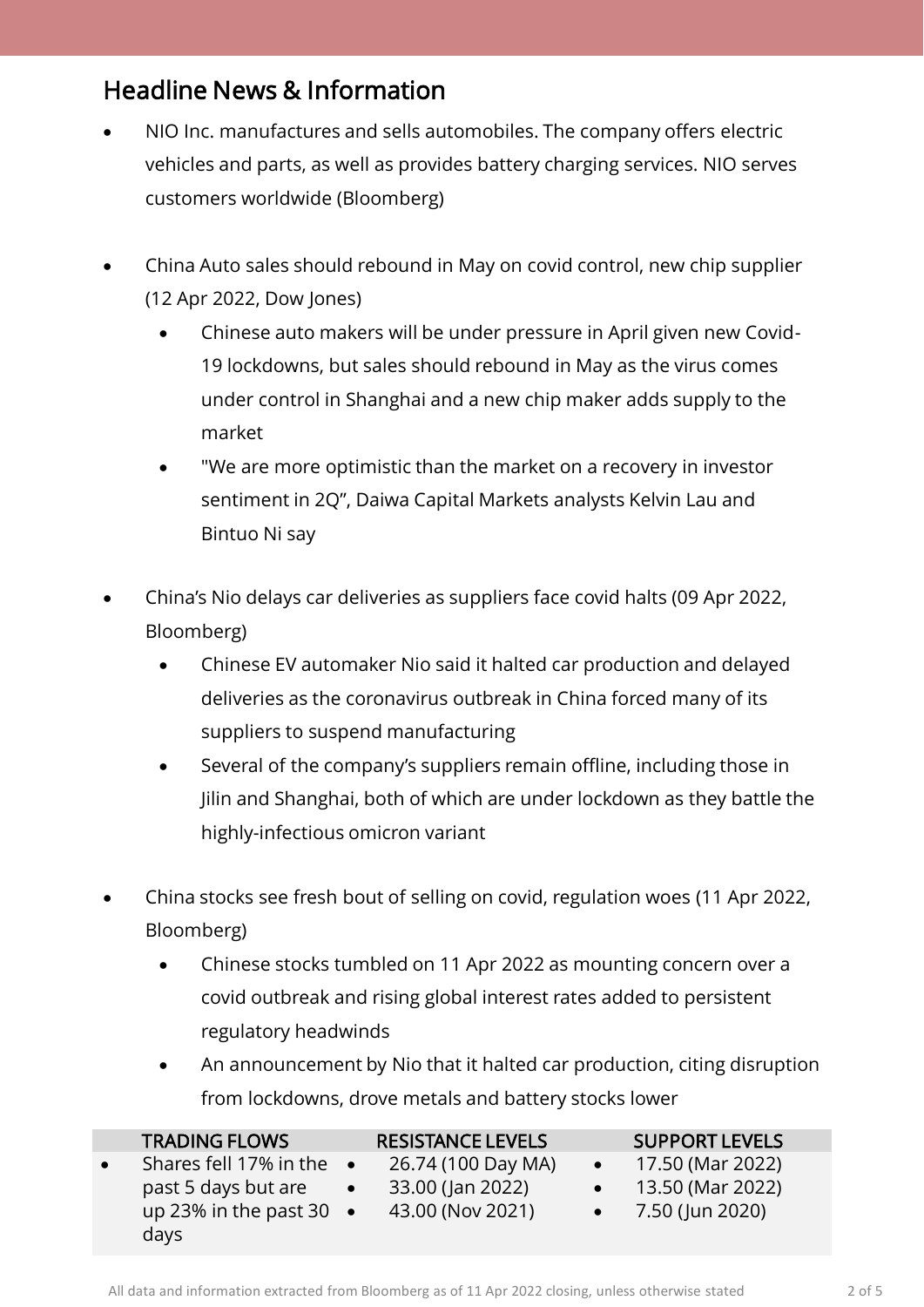### Headline News & Information

- NIO Inc. manufactures and sells automobiles. The company offers electric vehicles and parts, as well as provides battery charging services. NIO serves customers worldwide (Bloomberg)
- China Auto sales should rebound in May on covid control, new chip supplier (12 Apr 2022, Dow Jones)
	- Chinese auto makers will be under pressure in April given new Covid-19 lockdowns, but sales should rebound in May as the virus comes under control in Shanghai and a new chip maker adds supply to the market
	- "We are more optimistic than the market on a recovery in investor sentiment in 2Q", Daiwa Capital Markets analysts Kelvin Lau and Bintuo Ni say
- China's Nio delays car deliveries as suppliers face covid halts (09 Apr 2022, Bloomberg)
	- Chinese EV automaker Nio said it halted car production and delayed deliveries as the coronavirus outbreak in China forced many of its suppliers to suspend manufacturing
	- Several of the company's suppliers remain offline, including those in Jilin and Shanghai, both of which are under lockdown as they battle the highly-infectious omicron variant
- China stocks see fresh bout of selling on covid, regulation woes (11 Apr 2022, Bloomberg)
	- Chinese stocks tumbled on 11 Apr 2022 as mounting concern over a covid outbreak and rising global interest rates added to persistent regulatory headwinds
	- An announcement by Nio that it halted car production, citing disruption from lockdowns, drove metals and battery stocks lower

|           | <b>TRADING FLOWS</b>             | <b>RESISTANCE LEVELS</b> | <b>SUPPORT LEVELS</b> |                     |  |
|-----------|----------------------------------|--------------------------|-----------------------|---------------------|--|
| $\bullet$ | Shares fell 17% in the $\bullet$ | 26.74 (100 Day MA)       |                       | 17.50 (Mar 2022)    |  |
|           | past 5 days but are              | 33.00 (Jan 2022)         |                       | 13.50 (Mar 2022)    |  |
|           | up 23% in the past 30 $\bullet$  | 43.00 (Nov 2021)         |                       | • $7.50$ (Jun 2020) |  |
|           | days                             |                          |                       |                     |  |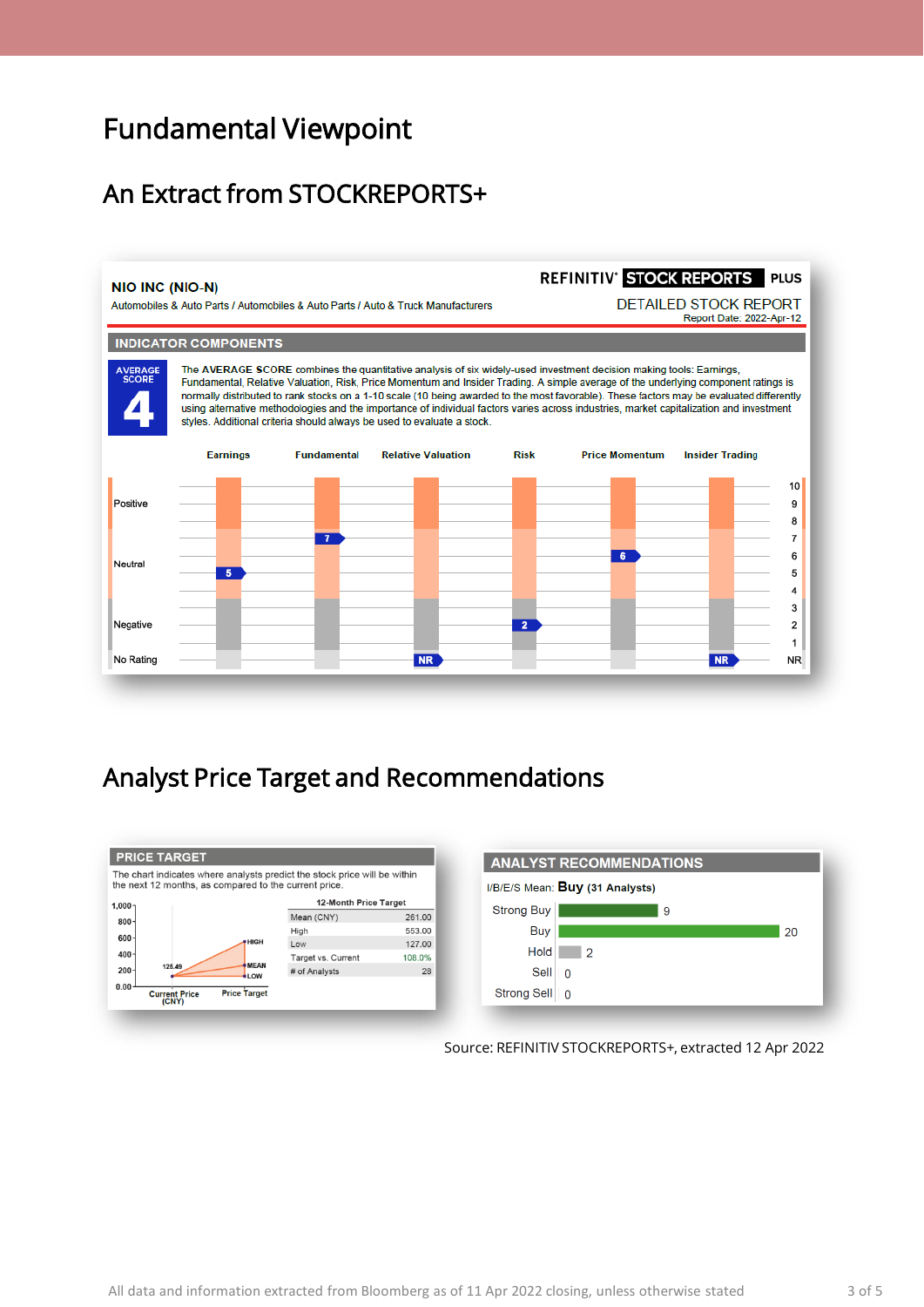## Fundamental Viewpoint

### An Extract from STOCKREPORTS+



#### Analyst Price Target and Recommendations





Source: REFINITIV STOCKREPORTS+, extracted 12 Apr 2022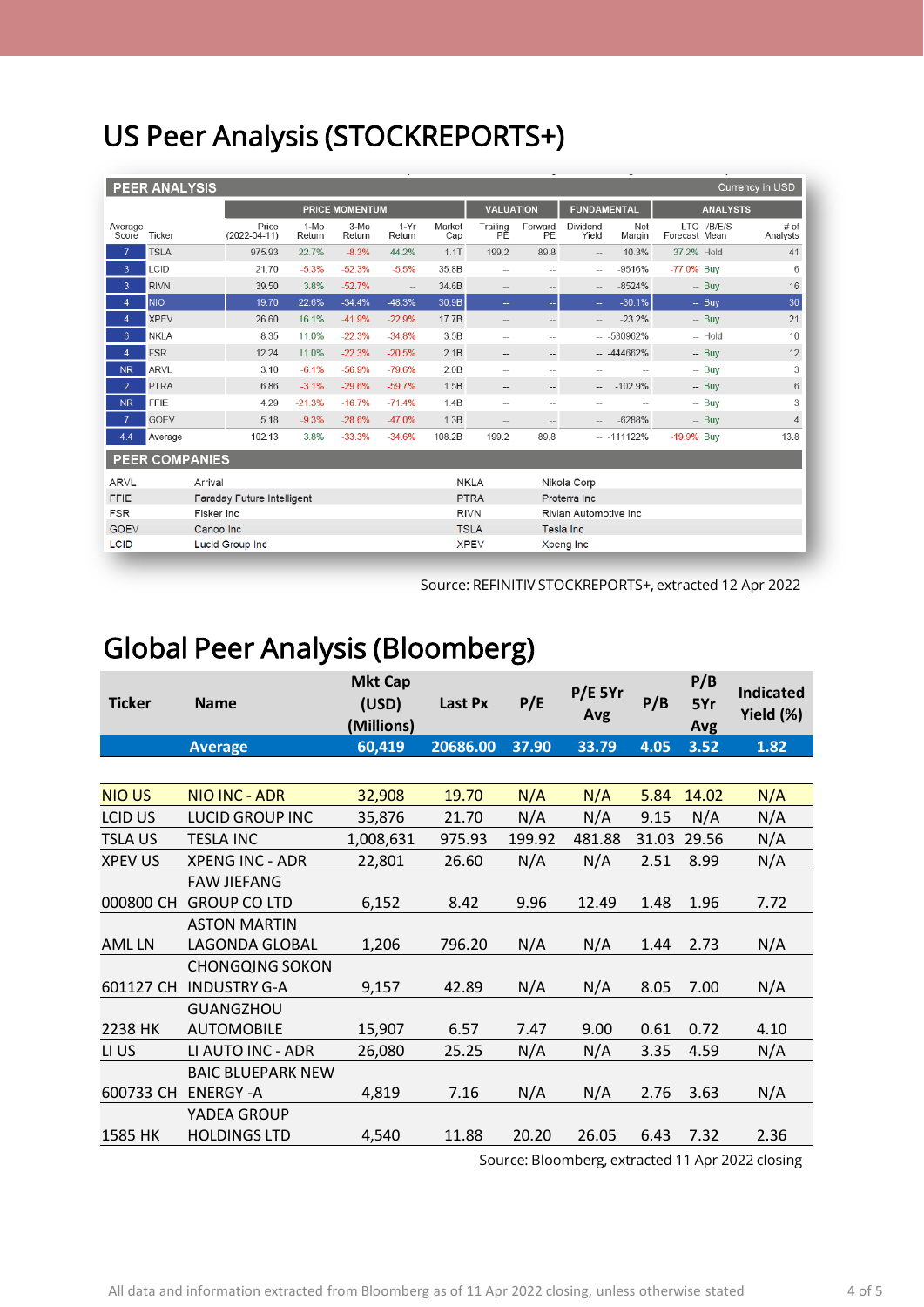# US Peer Analysis (STOCKREPORTS+)

| <b>PEER ANALYSIS</b><br>Currency in USD |                        |         |                             |                  |                  |                  |                          |                                       |                                    |                          |               |                              |                  |  |
|-----------------------------------------|------------------------|---------|-----------------------------|------------------|------------------|------------------|--------------------------|---------------------------------------|------------------------------------|--------------------------|---------------|------------------------------|------------------|--|
|                                         |                        |         | <b>PRICE MOMENTUM</b>       |                  |                  |                  |                          | <b>VALUATION</b>                      |                                    | <b>FUNDAMENTAL</b>       |               | <b>ANALYSTS</b>              |                  |  |
| Average<br>Score                        | Ticker                 |         | Price<br>$(2022 - 04 - 11)$ | $1-MO$<br>Return | $3-M0$<br>Return | $1-Yr$<br>Return | Market<br>Cap            | Trailing<br>РĔ                        | Forward<br>PE                      | Dividend<br>Yield        | Net<br>Margin | LTG I/B/E/S<br>Forecast Mean | # of<br>Analysts |  |
|                                         | <b>TSLA</b>            |         | 975.93                      | 22.7%            | $-8.3%$          | 44.2%            | 1.1T                     | 199.2                                 | 89.8                               | $\overline{\phantom{a}}$ | 10.3%         | 37.2% Hold                   | 41               |  |
| 3                                       | LCID                   |         | 21.70                       | $-5.3%$          | $-52.3%$         | $-5.5%$          | 35.8B                    | $\overline{\phantom{a}}$              | $\overline{\phantom{a}}$           | $\hspace{0.05cm} -$      | $-9516%$      | -77.0% Buy                   | 6                |  |
| 3                                       | <b>RIVN</b>            |         | 39.50                       | 3.8%             | $-52.7%$         | $\overline{a}$   | 34.6B                    | $\hspace{0.05cm} \ldots$              | $\hspace{0.05cm} -\hspace{0.05cm}$ | $\qquad \qquad -$        | $-8524%$      | $-$ Buv                      | 16               |  |
| $\overline{4}$                          | <b>NIO</b>             |         | 19.70                       | 22.6%            | $-34.4%$         | $-48.3%$         | 30.9B                    | $\mathbb{Z}^2$                        | $-$                                | $\sim$                   | $-30.1%$      | $-$ Buy                      | 30               |  |
| $\overline{4}$                          | <b>XPEV</b>            |         | 26.60                       | 16.1%            | $-41.9%$         | $-22.9%$         | 17.7B                    |                                       | $\qquad \qquad -$                  |                          | $-23.2%$      | $-$ Buy                      | 21               |  |
| $6\phantom{.}6$                         | <b>NKLA</b>            |         | 8.35                        | 11.0%            | $-22.3%$         | $-34.8%$         | 3.5B                     | $\overline{a}$                        | $\overline{a}$                     |                          | $- 530962%$   | $-$ Hold                     | 10               |  |
| $\overline{4}$                          | <b>FSR</b>             |         | 12.24                       | 11.0%            | $-22.3%$         | $-20.5%$         | 2.1B                     | $\hspace{0.05cm} -\hspace{0.05cm}$    | $\hspace{0.05cm} -\hspace{0.05cm}$ |                          | $-444662%$    | $-$ Buy                      | 12               |  |
| <b>NR</b>                               | <b>ARVL</b>            |         | 3.10                        | $-6.1%$          | $-56.9%$         | $-79.6%$         | 2.0B                     | $\sim$                                | $\overline{a}$                     |                          |               | $-$ Buy                      | 3                |  |
| $\overline{2}$                          | <b>PTRA</b>            |         | 6.86                        | $-3.1%$          | $-29.6%$         | $-59.7%$         | 1.5B                     | $\hspace{0.05cm} -\hspace{0.05cm}$    | $\qquad \qquad -$                  | $\sim$                   | $-102.9%$     | $-$ Buv                      | 6                |  |
| <b>NR</b>                               | <b>FFIE</b>            |         | 4.29                        | $-21.3%$         | $-16.7%$         | $-71.4%$         | 1.4B                     | $\overline{\phantom{a}}$              | $\overline{a}$                     | $\sim$                   |               | $-$ Buy                      | 3                |  |
| $\overline{7}$                          | <b>GOEV</b>            |         | 5.18                        | $-9.3%$          | $-28.6%$         | $-47.0%$         | 1.3B                     | $\overline{\phantom{m}}$              | $\qquad \qquad -$                  |                          | $-6288%$      | $-$ Buv                      | $\overline{4}$   |  |
| 4.4                                     | Average                |         | 102.13                      | 3.8%             | $-33.3%$         | $-34.6%$         | 108.2B                   | 199.2                                 | 89.8                               |                          | $- -111122%$  | -19.9% Buy                   | 13.8             |  |
| <b>PEER COMPANIES</b>                   |                        |         |                             |                  |                  |                  |                          |                                       |                                    |                          |               |                              |                  |  |
| ARVL                                    |                        | Arrival |                             |                  |                  |                  | <b>NKLA</b>              |                                       |                                    | Nikola Corp              |               |                              |                  |  |
| <b>FFIE</b>                             |                        |         | Faraday Future Intelligent  |                  |                  |                  |                          | <b>PTRA</b><br>Proterra Inc           |                                    |                          |               |                              |                  |  |
| <b>FSR</b>                              |                        |         | Fisker Inc                  |                  |                  |                  |                          | <b>RIVN</b><br>Rivian Automotive Inc. |                                    |                          |               |                              |                  |  |
| <b>GOEV</b>                             | Canoo Inc              |         |                             |                  |                  |                  | <b>TSLA</b>              |                                       |                                    | <b>Tesla Inc.</b>        |               |                              |                  |  |
| <b>LCID</b>                             | <b>Lucid Group Inc</b> |         |                             |                  |                  |                  | <b>XPEV</b><br>Xpeng Inc |                                       |                                    |                          |               |                              |                  |  |

Source: REFINITIV STOCKREPORTS+, extracted 12 Apr 2022

## Global Peer Analysis (Bloomberg)

| <b>Ticker</b>  | <b>Name</b>              | <b>Mkt Cap</b><br>(USD)<br>(Millions) | Last Px  | P/E    | $P/E$ 5Yr<br>Avg | P/B   | P/B<br>5Yr<br>Avg | <b>Indicated</b><br>Yield (%) |
|----------------|--------------------------|---------------------------------------|----------|--------|------------------|-------|-------------------|-------------------------------|
|                | <b>Average</b>           | 60,419                                | 20686.00 | 37.90  | 33.79            | 4.05  | 3.52              | 1.82                          |
|                |                          |                                       |          |        |                  |       |                   |                               |
| <b>NIOUS</b>   | <b>NIO INC - ADR</b>     | 32,908                                | 19.70    | N/A    | N/A              | 5.84  | 14.02             | N/A                           |
| LCID US        | <b>LUCID GROUP INC</b>   | 35,876                                | 21.70    | N/A    | N/A              | 9.15  | N/A               | N/A                           |
| <b>TSLAUS</b>  | <b>TESLA INC</b>         | 1,008,631                             | 975.93   | 199.92 | 481.88           | 31.03 | 29.56             | N/A                           |
| <b>XPEV US</b> | <b>XPENG INC - ADR</b>   | 22,801                                | 26.60    | N/A    | N/A              | 2.51  | 8.99              | N/A                           |
|                | <b>FAW JIEFANG</b>       |                                       |          |        |                  |       |                   |                               |
| 000800 CH      | <b>GROUP CO LTD</b>      | 6,152                                 | 8.42     | 9.96   | 12.49            | 1.48  | 1.96              | 7.72                          |
|                | <b>ASTON MARTIN</b>      |                                       |          |        |                  |       |                   |                               |
| <b>AMLLN</b>   | LAGONDA GLOBAL           | 1,206                                 | 796.20   | N/A    | N/A              | 1.44  | 2.73              | N/A                           |
|                | <b>CHONGQING SOKON</b>   |                                       |          |        |                  |       |                   |                               |
| 601127 CH      | <b>INDUSTRY G-A</b>      | 9,157                                 | 42.89    | N/A    | N/A              | 8.05  | 7.00              | N/A                           |
|                | <b>GUANGZHOU</b>         |                                       |          |        |                  |       |                   |                               |
| 2238 HK        | <b>AUTOMOBILE</b>        | 15,907                                | 6.57     | 7.47   | 9.00             | 0.61  | 0.72              | 4.10                          |
| LI US          | LI AUTO INC - ADR        | 26,080                                | 25.25    | N/A    | N/A              | 3.35  | 4.59              | N/A                           |
|                | <b>BAIC BLUEPARK NEW</b> |                                       |          |        |                  |       |                   |                               |
| 600733 CH      | <b>ENERGY -A</b>         | 4,819                                 | 7.16     | N/A    | N/A              | 2.76  | 3.63              | N/A                           |
|                | YADEA GROUP              |                                       |          |        |                  |       |                   |                               |
| 1585 HK        | <b>HOLDINGS LTD</b>      | 4,540                                 | 11.88    | 20.20  | 26.05            | 6.43  | 7.32              | 2.36                          |

Source: Bloomberg, extracted 11 Apr 2022 closing